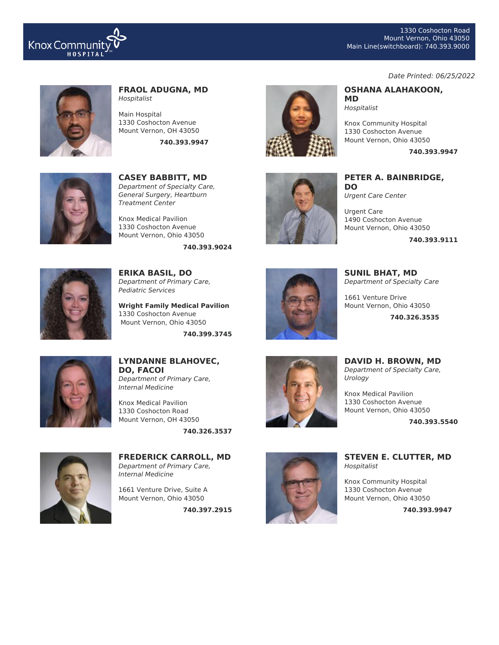

#### Date Printed: 06/25/2022

**740.393.9947**



#### **FRAOL ADUGNA, MD** Hospitalist

Main Hospital 1330 Coshocton Avenue Mount Vernon, OH 43050

**740.393.9947**



**CASEY BABBITT, MD** Department of Specialty Care, General Surgery, Heartburn Treatment Center

Knox Medical Pavilion 1330 Coshocton Avenue Mount Vernon, Ohio 43050

**740.393.9024**



**ERIKA BASIL, DO** Department of Primary Care, Pediatric Services

**Wright Family Medical Pavilion** 1330 Coshocton Avenue Mount Vernon, Ohio 43050

**740.399.3745**





**PETER A. BAINBRIDGE, DO** Urgent Care Center

**OSHANA ALAHAKOON,**

Knox Community Hospital 1330 Coshocton Avenue Mount Vernon, Ohio 43050

**MD** Hospitalist

Urgent Care 1490 Coshocton Avenue Mount Vernon, Ohio 43050

**740.393.9111**



**SUNIL BHAT, MD** Department of Specialty Care

1661 Venture Drive Mount Vernon, Ohio 43050

**740.326.3535**



**LYNDANNE BLAHOVEC, DO, FACOI** Department of Primary Care, Internal Medicine

Knox Medical Pavilion 1330 Coshocton Road Mount Vernon, OH 43050

**740.326.3537**



**FREDERICK CARROLL, MD** Department of Primary Care, Internal Medicine

1661 Venture Drive, Suite A Mount Vernon, Ohio 43050

**740.397.2915**



**DAVID H. BROWN, MD** Department of Specialty Care, Urology

Knox Medical Pavilion 1330 Coshocton Avenue Mount Vernon, Ohio 43050

**740.393.5540**



**STEVEN E. CLUTTER, MD** Hospitalist

Knox Community Hospital 1330 Coshocton Avenue Mount Vernon, Ohio 43050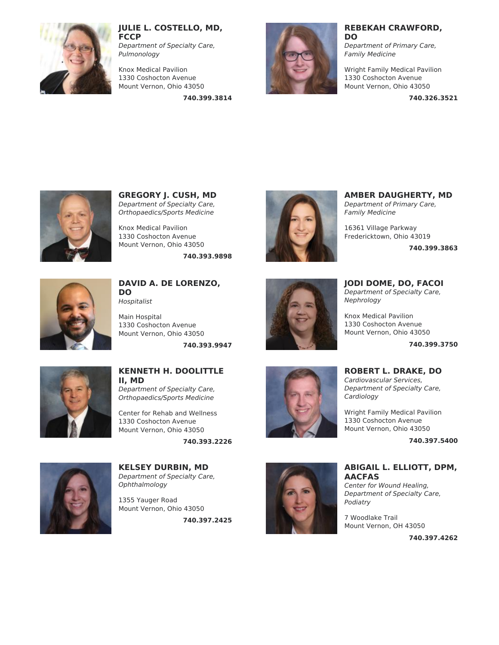

**JULIE L. COSTELLO, MD, FCCP**

Department of Specialty Care, Pulmonology

Knox Medical Pavilion 1330 Coshocton Avenue Mount Vernon, Ohio 43050

**740.399.3814**



#### **REBEKAH CRAWFORD, DO**

Department of Primary Care, Family Medicine

Wright Family Medical Pavilion 1330 Coshocton Avenue Mount Vernon, Ohio 43050

**740.326.3521**



**GREGORY J. CUSH, MD** Department of Specialty Care, Orthopaedics/Sports Medicine

Knox Medical Pavilion 1330 Coshocton Avenue Mount Vernon, Ohio 43050

**740.393.9898**



**DAVID A. DE LORENZO, DO** Hospitalist

Main Hospital 1330 Coshocton Avenue Mount Vernon, Ohio 43050

**740.393.9947**



# **KENNETH H. DOOLITTLE II, MD** Department of Specialty Care,

Orthopaedics/Sports Medicine

Center for Rehab and Wellness 1330 Coshocton Avenue Mount Vernon, Ohio 43050

**740.393.2226**



**KELSEY DURBIN, MD** Department of Specialty Care, Ophthalmology

1355 Yauger Road Mount Vernon, Ohio 43050

**740.397.2425**



**AMBER DAUGHERTY, MD** Department of Primary Care, Family Medicine

16361 Village Parkway Fredericktown, Ohio 43019

**740.399.3863**



**JODI DOME, DO, FACOI** Department of Specialty Care, Nephrology

Knox Medical Pavilion 1330 Coshocton Avenue Mount Vernon, Ohio 43050

**740.399.3750**



# **ROBERT L. DRAKE, DO**

Cardiovascular Services, Department of Specialty Care, Cardiology

Wright Family Medical Pavilion 1330 Coshocton Avenue Mount Vernon, Ohio 43050

**740.397.5400**



# **ABIGAIL L. ELLIOTT, DPM, AACFAS**

Center for Wound Healing, Department of Specialty Care, Podiatry

7 Woodlake Trail Mount Vernon, OH 43050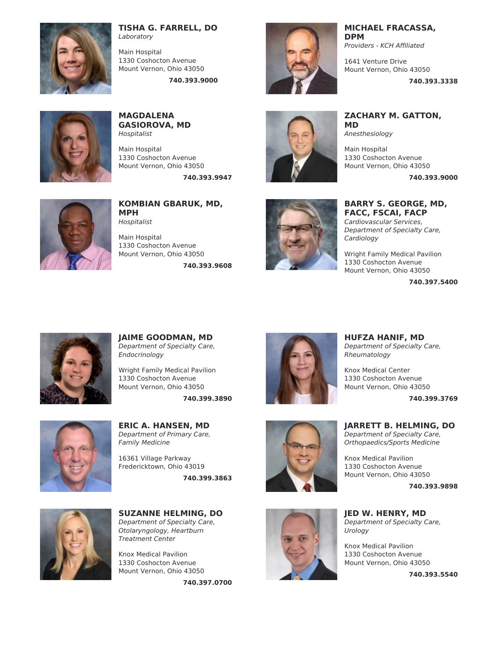

## **TISHA G. FARRELL, DO** Laboratory

Main Hospital 1330 Coshocton Avenue Mount Vernon, Ohio 43050

**740.393.9000**



**MAGDALENA GASIOROVA, MD** Hospitalist

Main Hospital 1330 Coshocton Avenue Mount Vernon, Ohio 43050

**740.393.9947**



**KOMBIAN GBARUK, MD, MPH** Hospitalist

Main Hospital 1330 Coshocton Avenue Mount Vernon, Ohio 43050

**740.393.9608**



**MICHAEL FRACASSA, DPM**

Providers - KCH Affiliated

1641 Venture Drive Mount Vernon, Ohio 43050

**ZACHARY M. GATTON,**

1330 Coshocton Avenue Mount Vernon, Ohio 43050

**MD**

Anesthesiology Main Hospital

**740.393.3338**

**740.393.9000**



**BARRY S. GEORGE, MD, FACC, FSCAI, FACP**

Cardiovascular Services, Department of Specialty Care, Cardiology

Wright Family Medical Pavilion 1330 Coshocton Avenue Mount Vernon, Ohio 43050

**740.397.5400**



**JAIME GOODMAN, MD** Department of Specialty Care, Endocrinology

Wright Family Medical Pavilion 1330 Coshocton Avenue Mount Vernon, Ohio 43050

**740.399.3890**



**ERIC A. HANSEN, MD** Department of Primary Care, Family Medicine

16361 Village Parkway Fredericktown, Ohio 43019

**740.399.3863**



**SUZANNE HELMING, DO** Department of Specialty Care, Otolaryngology, Heartburn Treatment Center

Knox Medical Pavilion 1330 Coshocton Avenue Mount Vernon, Ohio 43050

**740.397.0700**



**HUFZA HANIF, MD** Department of Specialty Care, Rheumatology

Knox Medical Center 1330 Coshocton Avenue Mount Vernon, Ohio 43050

**740.399.3769**



**JARRETT B. HELMING, DO** Department of Specialty Care, Orthopaedics/Sports Medicine

Knox Medical Pavilion 1330 Coshocton Avenue Mount Vernon, Ohio 43050

**740.393.9898**

**JED W. HENRY, MD** Department of Specialty Care, Urology

Knox Medical Pavilion 1330 Coshocton Avenue Mount Vernon, Ohio 43050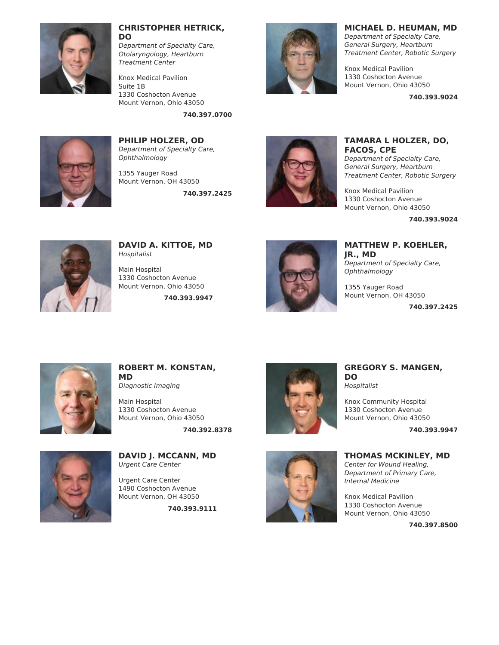

#### **CHRISTOPHER HETRICK, DO**

Department of Specialty Care, Otolaryngology, Heartburn Treatment Center

Knox Medical Pavilion Suite 1B 1330 Coshocton Avenue Mount Vernon, Ohio 43050

**740.397.0700**



**PHILIP HOLZER, OD** Department of Specialty Care, **Ophthalmology** 

1355 Yauger Road Mount Vernon, OH 43050

**740.397.2425**



# **MICHAEL D. HEUMAN, MD**

Department of Specialty Care, General Surgery, Heartburn Treatment Center, Robotic Surgery

Knox Medical Pavilion 1330 Coshocton Avenue Mount Vernon, Ohio 43050

**740.393.9024**



# **TAMARA L HOLZER, DO, FACOS, CPE**

Department of Specialty Care, General Surgery, Heartburn Treatment Center, Robotic Surgery

Knox Medical Pavilion 1330 Coshocton Avenue Mount Vernon, Ohio 43050

**740.393.9024**



**DAVID A. KITTOE, MD** Hospitalist

Main Hospital 1330 Coshocton Avenue Mount Vernon, Ohio 43050

**740.393.9947**



**MATTHEW P. KOEHLER, JR., MD** Department of Specialty Care, Ophthalmology

1355 Yauger Road Mount Vernon, OH 43050

**740.397.2425**



**ROBERT M. KONSTAN, MD** Diagnostic Imaging

Main Hospital 1330 Coshocton Avenue Mount Vernon, Ohio 43050

**740.392.8378**



**DAVID J. MCCANN, MD** Urgent Care Center

Urgent Care Center 1490 Coshocton Avenue Mount Vernon, OH 43050

**740.393.9111**





Knox Community Hospital 1330 Coshocton Avenue Mount Vernon, Ohio 43050

**740.393.9947**



**THOMAS MCKINLEY, MD** Center for Wound Healing, Department of Primary Care, Internal Medicine

Knox Medical Pavilion 1330 Coshocton Avenue Mount Vernon, Ohio 43050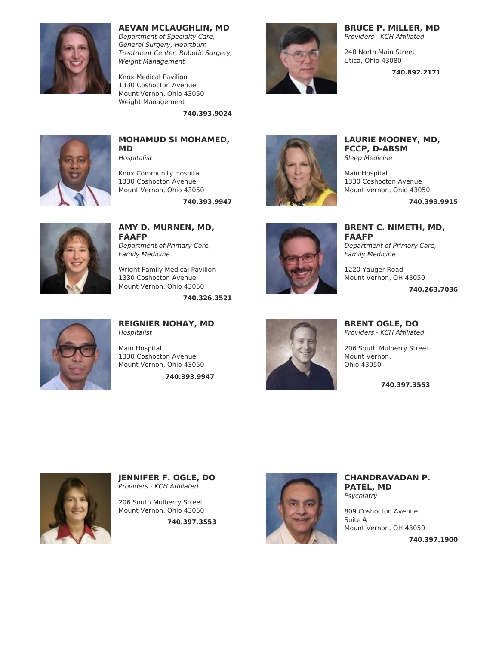

# **AEVAN MCLAUGHLIN, MD**

Department of Specialty Care, General Surgery, Heartburn Treatment Center, Robotic Surgery, Weight Management

Knox Medical Pavilion 1330 Coshocton Avenue Mount Vernon, Ohio 43050 Weight [Management](file:///tmp/node/264)

**740.393.9024**



# **MOHAMUD SI MOHAMED, MD**

Hospitalist

Knox Community Hospital 1330 Coshocton Avenue Mount Vernon, Ohio 43050

**740.393.9947**



**AMY D. MURNEN, MD, FAAFP** Department of Primary Care, Family Medicine

Wright Family Medical Pavilion 1330 Coshocton Avenue Mount Vernon, Ohio 43050

**740.326.3521**



**BRUCE P. MILLER, MD** Providers - KCH Affiliated

248 North Main Street, Utica, Ohio 43080

**740.892.2171**



**LAURIE MOONEY, MD, FCCP, D-ABSM** Sleep Medicine

Main Hospital 1330 Coshocton Avenue Mount Vernon, Ohio 43050

**740.393.9915**

**BRENT C. NIMETH, MD, FAAFP** Department of Primary Care, Family Medicine Mount Vernon, OH 43050

1220 Yauger Road

**740.263.7036**



# **REIGNIER NOHAY, MD** Hospitalist

Main Hospital 1330 Coshocton Avenue Mount Vernon, Ohio 43050

**740.393.9947**



**BRENT OGLE, DO** Providers - KCH Affiliated

206 South Mulberry Street Mount Vernon, Ohio 43050

**740.397.3553**



**JENNIFER F. OGLE, DO** Providers - KCH Affiliated

206 South Mulberry Street Mount Vernon, Ohio 43050

**740.397.3553**



**CHANDRAVADAN P. PATEL, MD** Psychiatry

809 Coshocton Avenue Suite A Mount Vernon, OH 43050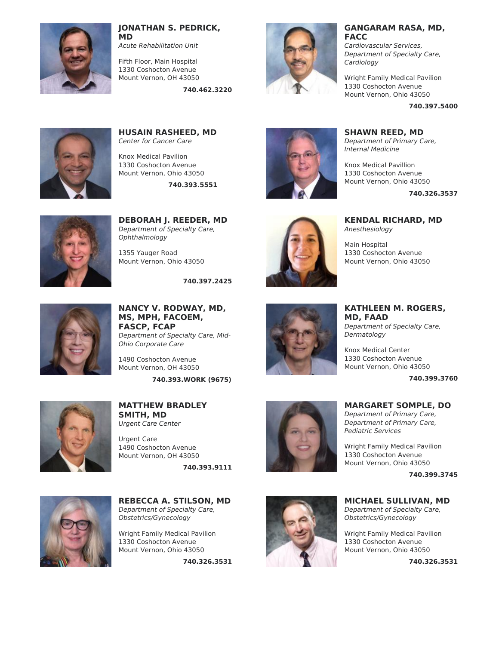

## **JONATHAN S. PEDRICK, MD**

Acute Rehabilitation Unit

Fifth Floor, Main Hospital 1330 Coshocton Avenue Mount Vernon, OH 43050

**740.462.3220**



#### **GANGARAM RASA, MD, FACC**

Cardiovascular Services, Department of Specialty Care, Cardiology

Wright Family Medical Pavilion 1330 Coshocton Avenue Mount Vernon, Ohio 43050

**740.397.5400**



**HUSAIN RASHEED, MD** Center for Cancer Care

Knox Medical Pavilion 1330 Coshocton Avenue Mount Vernon, Ohio 43050

**740.393.5551**



**DEBORAH J. REEDER, MD** Department of Specialty Care, Ophthalmology

1355 Yauger Road Mount Vernon, Ohio 43050

**740.397.2425**



**NANCY V. RODWAY, MD, MS, MPH, FACOEM, FASCP, FCAP** Department of Specialty Care, Mid-Ohio Corporate Care

1490 Coshocton Avenue Mount Vernon, OH 43050

**740.393.WORK (9675)**



**MATTHEW BRADLEY SMITH, MD** Urgent Care Center

Urgent Care 1490 Coshocton Avenue Mount Vernon, OH 43050

**740.393.9111**



**REBECCA A. STILSON, MD** Department of Specialty Care, Obstetrics/Gynecology

Wright Family Medical Pavilion 1330 Coshocton Avenue Mount Vernon, Ohio 43050

**740.326.3531**





**SHAWN REED, MD**

Department of Primary Care, Internal Medicine

Knox Medical Pavillion 1330 Coshocton Avenue Mount Vernon, Ohio 43050

**740.326.3537**

**KENDAL RICHARD, MD** Anesthesiology

Main Hospital 1330 Coshocton Avenue Mount Vernon, Ohio 43050

**KATHLEEN M. ROGERS, MD, FAAD** Department of Specialty Care, Dermatology

> Knox Medical Center 1330 Coshocton Avenue Mount Vernon, Ohio 43050

> > **740.399.3760**

# **MARGARET SOMPLE, DO** Department of Primary Care,

Department of Primary Care, Pediatric Services

Wright Family Medical Pavilion 1330 Coshocton Avenue Mount Vernon, Ohio 43050

**740.399.3745**

**MICHAEL SULLIVAN, MD** Department of Specialty Care, Obstetrics/Gynecology

Wright Family Medical Pavilion 1330 Coshocton Avenue Mount Vernon, Ohio 43050

**740.326.3531**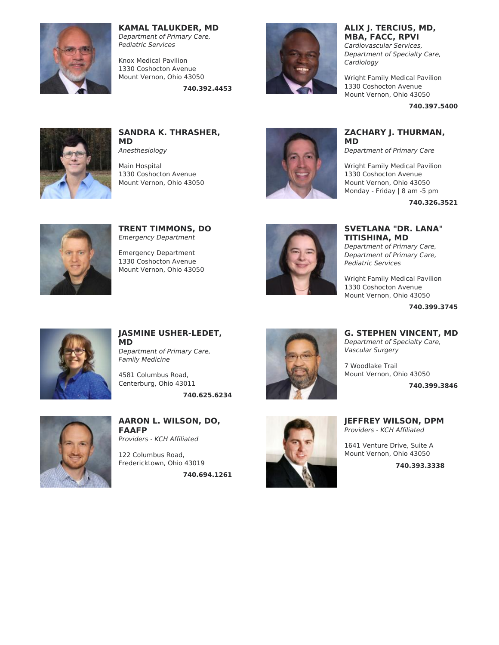

# **KAMAL TALUKDER, MD**

Department of Primary Care, Pediatric Services

Knox Medical Pavilion 1330 Coshocton Avenue Mount Vernon, Ohio 43050

**740.392.4453**



# **ALIX J. TERCIUS, MD, MBA, FACC, RPVI**

Cardiovascular Services, Department of Specialty Care, Cardiology

Wright Family Medical Pavilion 1330 Coshocton Avenue Mount Vernon, Ohio 43050

**740.397.5400**



**SANDRA K. THRASHER, MD** Anesthesiology

Main Hospital 1330 Coshocton Avenue Mount Vernon, Ohio 43050



# **ZACHARY J. THURMAN, MD**

Department of Primary Care

Wright Family Medical Pavilion 1330 Coshocton Avenue Mount Vernon, Ohio 43050 Monday - Friday | 8 am -5 pm

**740.326.3521**



**TRENT TIMMONS, DO** Emergency Department

Emergency Department 1330 Coshocton Avenue Mount Vernon, Ohio 43050



**SVETLANA "DR. LANA" TITISHINA, MD** Department of Primary Care,

Department of Primary Care, Pediatric Services

Wright Family Medical Pavilion 1330 Coshocton Avenue Mount Vernon, Ohio 43050

**G. STEPHEN VINCENT, MD** Department of Specialty Care,

Vascular Surgery 7 Woodlake Trail

**740.399.3745**

**740.399.3846**



**JASMINE USHER-LEDET, MD** Department of Primary Care, Family Medicine

4581 Columbus Road, Centerburg, Ohio 43011

**740.625.6234**



**AARON L. WILSON, DO, FAAFP** Providers - KCH Affiliated

122 Columbus Road, Fredericktown, Ohio 43019

**740.694.1261**



**JEFFREY WILSON, DPM** Providers - KCH Affiliated

Mount Vernon, Ohio 43050

1641 Venture Drive, Suite A Mount Vernon, Ohio 43050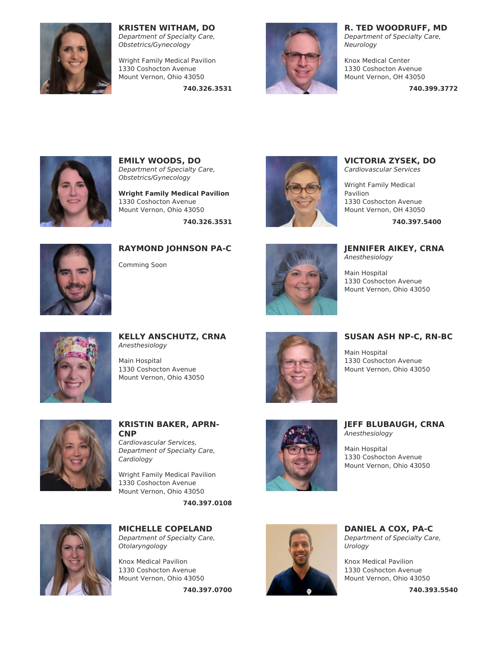

**KRISTEN WITHAM, DO** Department of Specialty Care,

Obstetrics/Gynecology

Wright Family Medical Pavilion 1330 Coshocton Avenue Mount Vernon, Ohio 43050

**740.326.3531**



**R. TED WOODRUFF, MD**

Department of Specialty Care, Neurology

Knox Medical Center 1330 Coshocton Avenue Mount Vernon, OH 43050

**740.399.3772**



**EMILY WOODS, DO** Department of Specialty Care, Obstetrics/Gynecology

**Wright Family Medical Pavilion** 1330 Coshocton Avenue Mount Vernon, Ohio 43050 **740.326.3531**



**VICTORIA ZYSEK, DO** Cardiovascular Services

Wright Family Medical Pavilion 1330 Coshocton Avenue Mount Vernon, OH 43050

**740.397.5400**



**RAYMOND JOHNSON PA-C**

Comming Soon



**JENNIFER AIKEY, CRNA** Anesthesiology

Main Hospital 1330 Coshocton Avenue Mount Vernon, Ohio 43050



**KELLY ANSCHUTZ, CRNA** Anesthesiology

Main Hospital 1330 Coshocton Avenue Mount Vernon, Ohio 43050



**SUSAN ASH NP-C, RN-BC**

Main Hospital 1330 Coshocton Avenue Mount Vernon, Ohio 43050



# **KRISTIN BAKER, APRN-CNP**

Cardiovascular Services, Department of Specialty Care, Cardiology

Wright Family Medical Pavilion 1330 Coshocton Avenue Mount Vernon, Ohio 43050

**740.397.0108**



**MICHELLE COPELAND** Department of Specialty Care,

Otolaryngology

Knox Medical Pavilion 1330 Coshocton Avenue Mount Vernon, Ohio 43050

**740.397.0700**



**JEFF BLUBAUGH, CRNA** Anesthesiology

Main Hospital 1330 Coshocton Avenue Mount Vernon, Ohio 43050



**DANIEL A COX, PA-C** Department of Specialty Care, Urology

Knox Medical Pavilion 1330 Coshocton Avenue Mount Vernon, Ohio 43050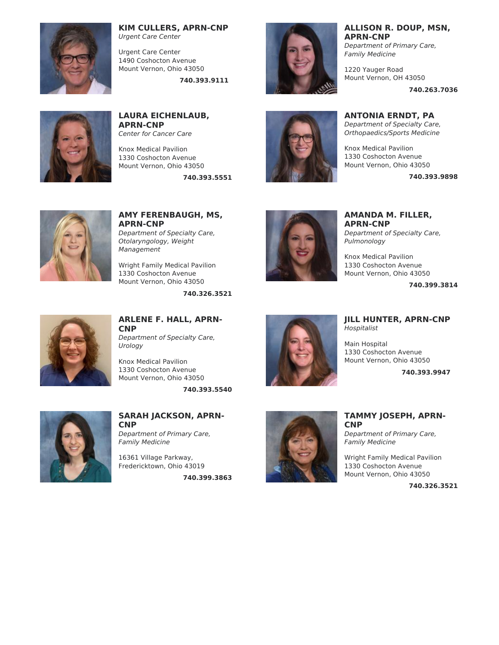

#### **KIM CULLERS, APRN-CNP** Urgent Care Center

Urgent Care Center 1490 Coshocton Avenue Mount Vernon, Ohio 43050

**740.393.9111**



**LAURA EICHENLAUB, APRN-CNP** Center for Cancer Care

Knox Medical Pavilion 1330 Coshocton Avenue Mount Vernon, Ohio 43050

**740.393.5551**





**AMY FERENBAUGH, MS, APRN-CNP** Department of Specialty Care, Otolaryngology, Weight Management

Wright Family Medical Pavilion 1330 Coshocton Avenue Mount Vernon, Ohio 43050

**740.326.3521**



**AMANDA M. FILLER, APRN-CNP** Department of Specialty Care,

Knox Medical Pavilion

**JILL HUNTER, APRN-CNP**

**740.399.3814**

**740.393.9947**



**ARLENE F. HALL, APRN-CNP** Department of Specialty Care,

Knox Medical Pavilion 1330 Coshocton Avenue Mount Vernon, Ohio 43050

Urology

**740.393.5540**



**SARAH JACKSON, APRN-CNP** Department of Primary Care, Family Medicine

16361 Village Parkway, Fredericktown, Ohio 43019

**740.399.3863**





# **TAMMY JOSEPH, APRN-CNP**

Department of Primary Care, Family Medicine

Wright Family Medical Pavilion 1330 Coshocton Avenue Mount Vernon, Ohio 43050

**740.326.3521**

# Pulmonology



1330 Coshocton Avenue Mount Vernon, Ohio 43050

Hospitalist

Main Hospital

# **ALLISON R. DOUP, MSN, APRN-CNP**

Department of Primary Care, Family Medicine

1220 Yauger Road Mount Vernon, OH 43050

**740.263.7036**

**740.393.9898**

**ANTONIA ERNDT, PA** Department of Specialty Care, Orthopaedics/Sports Medicine Knox Medical Pavilion 1330 Coshocton Avenue Mount Vernon, Ohio 43050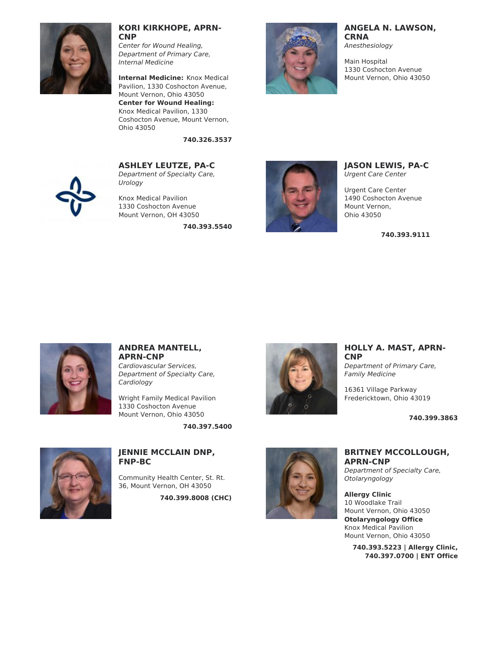

#### **KORI KIRKHOPE, APRN-CNP**

Center for Wound Healing, Department of Primary Care, Internal Medicine

**Internal Medicine:** Knox Medical Pavilion, 1330 Coshocton Avenue, Mount Vernon, Ohio 43050 **Center for Wound Healing:** Knox Medical Pavilion, 1330 Coshocton Avenue, Mount Vernon, Ohio 43050

**740.326.3537**

#### **ANGELA N. LAWSON, CRNA**

Anesthesiology

Main Hospital 1330 Coshocton Avenue Mount Vernon, Ohio 43050



Department of Specialty Care, Urology

**ASHLEY LEUTZE, PA-C**

Knox Medical Pavilion 1330 Coshocton Avenue Mount Vernon, OH 43050

**740.393.5540**



**JASON LEWIS, PA-C** Urgent Care Center

Urgent Care Center 1490 Coshocton Avenue Mount Vernon, Ohio 43050

**740.393.9111**



# **ANDREA MANTELL, APRN-CNP** Cardiovascular Services,

Department of Specialty Care, **Cardiology** 

Wright Family Medical Pavilion 1330 Coshocton Avenue Mount Vernon, Ohio 43050

**740.397.5400**



# **JENNIE MCCLAIN DNP, FNP-BC**

Community Health Center, St. Rt. 36, Mount Vernon, OH 43050

**740.399.8008 (CHC)**



**HOLLY A. MAST, APRN-CNP**

Department of Primary Care, Family Medicine

16361 Village Parkway Fredericktown, Ohio 43019

**740.399.3863**



# **BRITNEY MCCOLLOUGH, APRN-CNP**

Department of Specialty Care, Otolaryngology

**Allergy Clinic** 10 Woodlake Trail Mount Vernon, Ohio 43050 **Otolaryngology Office** Knox Medical Pavilion Mount Vernon, Ohio 43050

**740.393.5223 | Allergy Clinic, 740.397.0700 | ENT Office**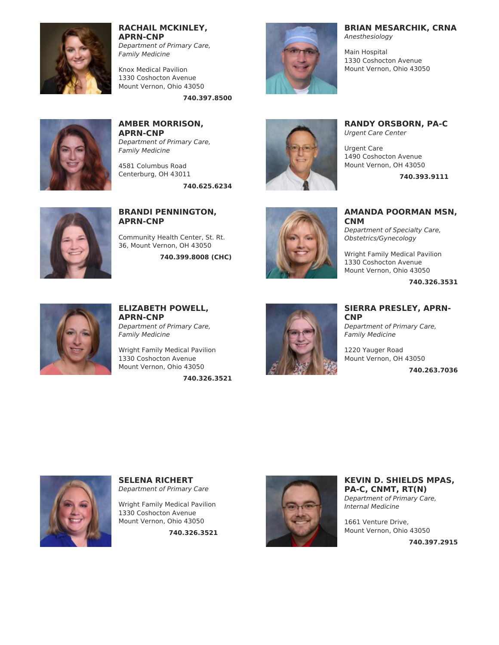

**RACHAIL MCKINLEY, APRN-CNP**

Department of Primary Care, Family Medicine

Knox Medical Pavilion 1330 Coshocton Avenue Mount Vernon, Ohio 43050

**740.397.8500**



**AMBER MORRISON, APRN-CNP** Department of Primary Care, Family Medicine

4581 Columbus Road Centerburg, OH 43011

**740.625.6234**



**BRIAN MESARCHIK, CRNA**

Anesthesiology

Main Hospital 1330 Coshocton Avenue Mount Vernon, Ohio 43050



**RANDY ORSBORN, PA-C** Urgent Care Center

Urgent Care 1490 Coshocton Avenue Mount Vernon, OH 43050

**740.393.9111**



# **BRANDI PENNINGTON, APRN-CNP**

Community Health Center, St. Rt. 36, Mount Vernon, OH 43050

**740.399.8008 (CHC)**



**AMANDA POORMAN MSN, CNM** Department of Specialty Care, Obstetrics/Gynecology

Wright Family Medical Pavilion 1330 Coshocton Avenue Mount Vernon, Ohio 43050

**740.326.3531**



# **ELIZABETH POWELL, APRN-CNP** Department of Primary Care,

Family Medicine Wright Family Medical Pavilion

1330 Coshocton Avenue Mount Vernon, Ohio 43050

**740.326.3521**



# **SIERRA PRESLEY, APRN-CNP**

Department of Primary Care, Family Medicine

1220 Yauger Road Mount Vernon, OH 43050

**740.263.7036**



**SELENA RICHERT** Department of Primary Care

Wright Family Medical Pavilion 1330 Coshocton Avenue Mount Vernon, Ohio 43050

**740.326.3521**



**KEVIN D. SHIELDS MPAS, PA-C, CNMT, RT(N)** Department of Primary Care, Internal Medicine

1661 Venture Drive, Mount Vernon, Ohio 43050